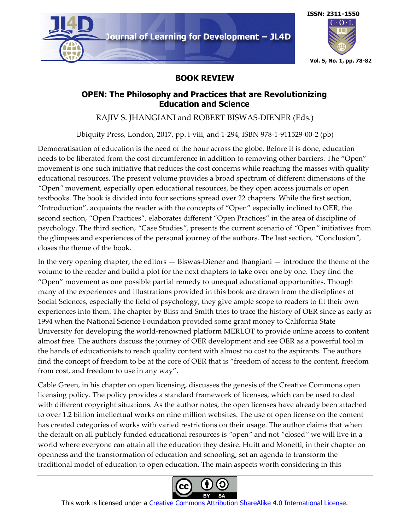



## **BOOK REVIEW**

## **OPEN: The Philosophy and Practices that are Revolutionizing Education and Science**

RAJIV S. JHANGIANI and ROBERT BISWAS-DIENER (Eds.)

Ubiquity Press, London, 2017, pp. i-viii, and 1-294, ISBN 978-1-911529-00-2 (pb)

Democratisation of education is the need of the hour across the globe. Before it is done, education needs to be liberated from the cost circumference in addition to removing other barriers. The "Open" movement is one such initiative that reduces the cost concerns while reaching the masses with quality educational resources. The present volume provides a broad spectrum of different dimensions of the *"*Open*"* movement, especially open educational resources, be they open access journals or open textbooks. The book is divided into four sections spread over 22 chapters. While the first section, "Introduction", acquaints the reader with the concepts of "Open" especially inclined to OER, the second section, "Open Practices", elaborates different "Open Practices" in the area of discipline of psychology. The third section, *"*Case Studies*"*, presents the current scenario of *"*Open*"* initiatives from the glimpses and experiences of the personal journey of the authors. The last section, *"*Conclusion*",* closes the theme of the book.

In the very opening chapter, the editors — Biswas-Diener and Jhangiani — introduce the theme of the volume to the reader and build a plot for the next chapters to take over one by one. They find the "Open" movement as one possible partial remedy to unequal educational opportunities. Though many of the experiences and illustrations provided in this book are drawn from the disciplines of Social Sciences, especially the field of psychology, they give ample scope to readers to fit their own experiences into them. The chapter by Bliss and Smith tries to trace the history of OER since as early as 1994 when the National Science Foundation provided some grant money to California State University for developing the world-renowned platform MERLOT to provide online access to content almost free. The authors discuss the journey of OER development and see OER as a powerful tool in the hands of educationists to reach quality content with almost no cost to the aspirants. The authors find the concept of freedom to be at the core of OER that is "freedom of access to the content, freedom from cost, and freedom to use in any way".

Cable Green, in his chapter on open licensing, discusses the genesis of the Creative Commons open licensing policy. The policy provides a standard framework of licenses, which can be used to deal with different copyright situations. As the author notes, the open licenses have already been attached to over 1.2 billion intellectual works on nine million websites. The use of open license on the content has created categories of works with varied restrictions on their usage. The author claims that when the default on all publicly funded educational resources is *"*open*"* and not *"*closed*"* we will live in a world where everyone can attain all the education they desire. Huitt and Monetti, in their chapter on openness and the transformation of education and schooling, set an agenda to transform the traditional model of education to open education. The main aspects worth considering in this

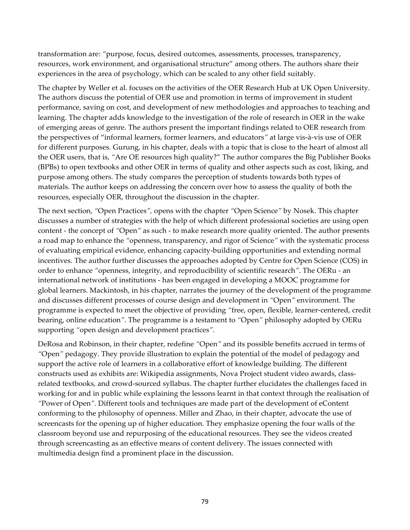transformation are: *"*purpose, focus, desired outcomes, assessments, processes, transparency, resources, work environment, and organisational structure" among others. The authors share their experiences in the area of psychology, which can be scaled to any other field suitably.

The chapter by Weller et al. focuses on the activities of the OER Research Hub at UK Open University. The authors discuss the potential of OER use and promotion in terms of improvement in student performance, saving on cost, and development of new methodologies and approaches to teaching and learning. The chapter adds knowledge to the investigation of the role of research in OER in the wake of emerging areas of genre. The authors present the important findings related to OER research from the perspectives of "informal learners, former learners, and educators*"* at large vis-à-vis use of OER for different purposes. Gurung, in his chapter, deals with a topic that is close to the heart of almost all the OER users, that is, *"*Are OE resources high quality?" The author compares the Big Publisher Books (BPBs) to open textbooks and other OER in terms of quality and other aspects such as cost, liking, and purpose among others. The study compares the perception of students towards both types of materials. The author keeps on addressing the concern over how to assess the quality of both the resources, especially OER, throughout the discussion in the chapter.

The next section, *"*Open Practices*",* opens with the chapter *"*Open Science*"* by Nosek. This chapter discusses a number of strategies with the help of which different professional societies are using open content - the concept of *"*Open*"* as such - to make research more quality oriented. The author presents a road map to enhance the *"*openness, transparency, and rigor of Science*"* with the systematic process of evaluating empirical evidence, enhancing capacity-building opportunities and extending normal incentives. The author further discusses the approaches adopted by Centre for Open Science (COS) in order to enhance *"*openness, integrity, and reproducibility of scientific research*"*. The OERu - an international network of institutions - has been engaged in developing a MOOC programme for global learners. Mackintosh, in his chapter, narrates the journey of the development of the programme and discusses different processes of course design and development in *"*Open*"* environment. The programme is expected to meet the objective of providing *"*free, open, flexible, learner-centered, credit bearing, online education*"*. The programme is a testament to *"*Open*"* philosophy adopted by OERu supporting *"*open design and development practices*"*.

DeRosa and Robinson, in their chapter, redefine *"*Open*"* and its possible benefits accrued in terms of *"*Open*"* pedagogy. They provide illustration to explain the potential of the model of pedagogy and support the active role of learners in a collaborative effort of knowledge building. The different constructs used as exhibits are: Wikipedia assignments, Nova Project student video awards, classrelated textbooks, and crowd-sourced syllabus. The chapter further elucidates the challenges faced in working for and in public while explaining the lessons learnt in that context through the realisation of *"*Power of Open*"*. Different tools and techniques are made part of the development of eContent conforming to the philosophy of openness. Miller and Zhao, in their chapter, advocate the use of screencasts for the opening up of higher education. They emphasize opening the four walls of the classroom beyond use and repurposing of the educational resources. They see the videos created through screencasting as an effective means of content delivery. The issues connected with multimedia design find a prominent place in the discussion.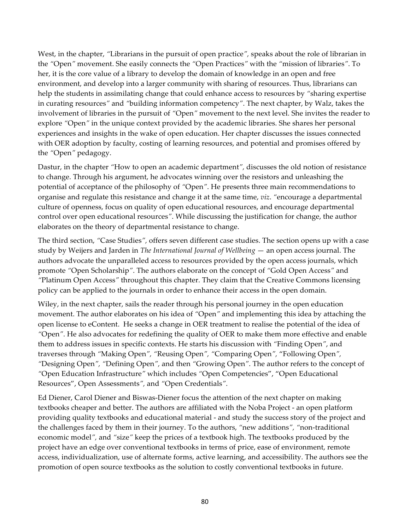West, in the chapter, *"*Librarians in the pursuit of open practice*",* speaks about the role of librarian in the *"*Open*"* movement. She easily connects the *"*Open Practices*"* with the *"*mission of libraries*"*. To her, it is the core value of a library to develop the domain of knowledge in an open and free environment, and develop into a larger community with sharing of resources. Thus, librarians can help the students in assimilating change that could enhance access to resources by *"*sharing expertise in curating resources*"* and *"*building information competency*"*. The next chapter, by Walz, takes the involvement of libraries in the pursuit of *"*Open*"* movement to the next level. She invites the reader to explore *"*Open*"* in the unique context provided by the academic libraries. She shares her personal experiences and insights in the wake of open education. Her chapter discusses the issues connected with OER adoption by faculty, costing of learning resources, and potential and promises offered by the *"*Open*"* pedagogy.

Dastur, in the chapter *"*How to open an academic department*",* discusses the old notion of resistance to change. Through his argument, he advocates winning over the resistors and unleashing the potential of acceptance of the philosophy of *"*Open*"*. He presents three main recommendations to organise and regulate this resistance and change it at the same time, *viz*. *"*encourage a departmental culture of openness, focus on quality of open educational resources, and encourage departmental control over open educational resources*"*. While discussing the justification for change, the author elaborates on the theory of departmental resistance to change.

The third section, *"*Case Studies*",* offers seven different case studies. The section opens up with a case study by Weijers and Jarden in *The International Journal of Wellbeing* — an open access journal. The authors advocate the unparalleled access to resources provided by the open access journals, which promote *"*Open Scholarship*"*. The authors elaborate on the concept of *"*Gold Open Access*"* and *"*Platinum Open Access*"* throughout this chapter. They claim that the Creative Commons licensing policy can be applied to the journals in order to enhance their access in the open domain.

Wiley, in the next chapter, sails the reader through his personal journey in the open education movement. The author elaborates on his idea of *"*Open*"* and implementing this idea by attaching the open license to eContent. He seeks a change in OER treatment to realise the potential of the idea of *"*Open*"*. He also advocates for redefining the quality of OER to make them more effective and enable them to address issues in specific contexts. He starts his discussion with *"*Finding Open*"*, and traverses through *"*Making Open*", "*Reusing Open*", "*Comparing Open*",* "Following Open*", "*Designing Open*", "*Defining Open*",* and then *"*Growing Open*"*. The author refers to the concept of *"*Open Education Infrastructure*"* which includes *"*Open Competencies", "Open Educational Resources", Open Assessments*",* and *"*Open Credentials*"*.

Ed Diener, Carol Diener and Biswas-Diener focus the attention of the next chapter on making textbooks cheaper and better. The authors are affiliated with the Noba Project - an open platform providing quality textbooks and educational material - and study the success story of the project and the challenges faced by them in their journey. To the authors, *"*new additions*", "*non-traditional economic model*",* and *"*size*"* keep the prices of a textbook high. The textbooks produced by the project have an edge over conventional textbooks in terms of price, ease of environment, remote access, individualization, use of alternate forms, active learning, and accessibility. The authors see the promotion of open source textbooks as the solution to costly conventional textbooks in future.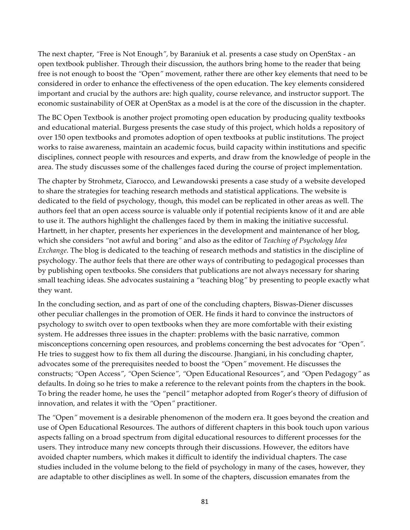The next chapter, *"*Free is Not Enough*",* by Baraniuk et al. presents a case study on OpenStax - an open textbook publisher. Through their discussion, the authors bring home to the reader that being free is not enough to boost the *"*Open*"* movement, rather there are other key elements that need to be considered in order to enhance the effectiveness of the open education. The key elements considered important and crucial by the authors are: high quality, course relevance, and instructor support. The economic sustainability of OER at OpenStax as a model is at the core of the discussion in the chapter.

The BC Open Textbook is another project promoting open education by producing quality textbooks and educational material. Burgess presents the case study of this project, which holds a repository of over 150 open textbooks and promotes adoption of open textbooks at public institutions. The project works to raise awareness, maintain an academic focus, build capacity within institutions and specific disciplines, connect people with resources and experts, and draw from the knowledge of people in the area. The study discusses some of the challenges faced during the course of project implementation.

The chapter by Strohmetz, Ciarocco, and Lewandowski presents a case study of a website developed to share the strategies for teaching research methods and statistical applications. The website is dedicated to the field of psychology, though, this model can be replicated in other areas as well. The authors feel that an open access source is valuable only if potential recipients know of it and are able to use it. The authors highlight the challenges faced by them in making the initiative successful. Hartnett, in her chapter, presents her experiences in the development and maintenance of her blog, which she considers *"*not awful and boring*"* and also as the editor of *Teaching of Psychology Idea Exchange*. The blog is dedicated to the teaching of research methods and statistics in the discipline of psychology. The author feels that there are other ways of contributing to pedagogical processes than by publishing open textbooks. She considers that publications are not always necessary for sharing small teaching ideas. She advocates sustaining a *"*teaching blog*"* by presenting to people exactly what they want.

In the concluding section, and as part of one of the concluding chapters, Biswas-Diener discusses other peculiar challenges in the promotion of OER. He finds it hard to convince the instructors of psychology to switch over to open textbooks when they are more comfortable with their existing system. He addresses three issues in the chapter: problems with the basic narrative, common misconceptions concerning open resources, and problems concerning the best advocates for *"*Open*"*. He tries to suggest how to fix them all during the discourse. Jhangiani, in his concluding chapter, advocates some of the prerequisites needed to boost the *"*Open*"* movement. He discusses the constructs; *"*Open Access*"*, *"*Open Science*", "*Open Educational Resources*"*, and *"*Open Pedagogy*"* as defaults. In doing so he tries to make a reference to the relevant points from the chapters in the book. To bring the reader home, he uses the *"*pencil*"* metaphor adopted from Roger's theory of diffusion of innovation, and relates it with the *"*Open*"* practitioner.

The *"*Open*"* movement is a desirable phenomenon of the modern era. It goes beyond the creation and use of Open Educational Resources. The authors of different chapters in this book touch upon various aspects falling on a broad spectrum from digital educational resources to different processes for the users. They introduce many new concepts through their discussions. However, the editors have avoided chapter numbers, which makes it difficult to identify the individual chapters. The case studies included in the volume belong to the field of psychology in many of the cases, however, they are adaptable to other disciplines as well. In some of the chapters, discussion emanates from the